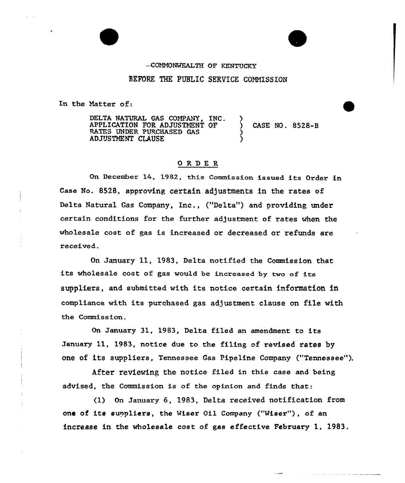#### -- COMMONWEAL THOF KENTUCKY

## BEFORE THE PUBLIC SERVICE COMMISSION

)

) )

In the Natter of:

DELTA NATURAL GAS COMPANY, INC. APPLICATION FOR ADJUSTMENT OP RATES UNDER PURCHASED GAS AD JUSTMENT CLAUSE

) CASE NO. 8528-8

<u> 1970 - Francisco Americano de Alemania e a contra con</u>

## OR'DE <sup>R</sup>

On December 14, 1982, this Commission issued its Order in Case No. 8528, approving certain adjustments in the rates of Delta Natural Gas Company, Inc., ("Delta") and providing under certain conditions for the further ad)ustment of rates when the wholesale cost of gas is increased or decreased or refunds are received.

On January 11, 1983, Delta notified the Commission that its wholesale cost of gas would be increased by two of its suppliers, and submitted with its notice certain information in compliance with its purchased gas adjustment clause on file with the Commission.

On January 31, 1983, Delta filed an amendment to its January 11, 1983, notice due to the filing of revised rates by one of its suppliers, Tennessee Gas Pipeline Company {"Tennessee").

After reviewing the notice filed in this case and being advised, the Commission is of the opinion and finds that:

(1) On January 6, 1983, Delta received notification from one of its sunpliers, the Wiser Oil Company ("Wiser"), of an increase in the wholesale cost of gas effective February 1, 1983.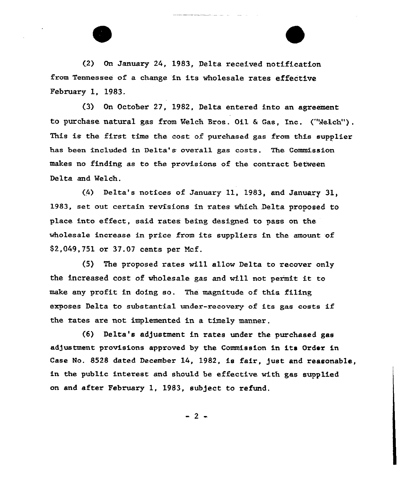$(2)$  On January 24, 1983, Delta received notification from Tennessee of a change fn its wholesale rates effective February 1, 1983.

(3) On October 27, 1982, Delta entered into an agreement to purchase natural gas from Welch Bros. Oil & Gas, Inc. ("Welch"). This is the first time the cost of purchased gas from this supplier has been included in Delta's overall gas costs. The Commission makes no finding as to the provisions of the contract between Delta and Welch.

{4) Delta's notices of Januaxy 11, 1983, and January 31, 1983, set out certain revisions in rates which Delta proposed to place into effect, said rates befng designed to pass on the wholesale increase in price from its suppliers in the amount of 82,049,751 or 37.07 cents pex Ncf.

(5) The proposed rates will allow Delta to recover only the increased cost of wholesale gas and will not permit it to make any profit in doing so. The magnitude of this filing exposes Delta to substantial under-recovery of its gas costs if the tates are not implemented in a timely manner.

{6} Delta's ad]ustment in rates under the purchased gas adjustment provisions approved by the Commission in its Order in Case No. 8528 dated December 14, 1982, is fair, just and reasonable, in the public interest and should be effective with gas supplied on and after February 1, 1983, sub)ect to refund.

 $-2$   $-$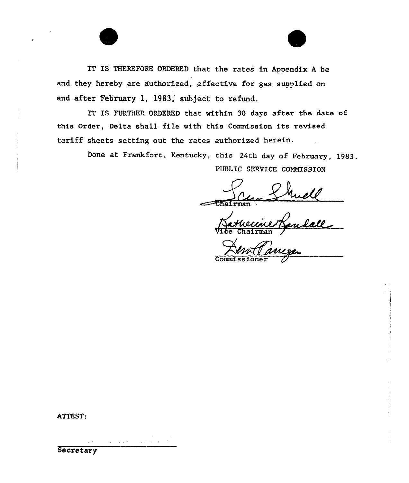IT IS THEREFORE ORDERED that the rates in Appendix A be and they hereby are authorized, effective for gas supplied on and after February 1, 1983, subject to refund.

IT IS FURTHER ORDERED that within 30 days after the date of this Order, Delta shall file with this Commission its revised tariff sheets setting out the rates authorized herein.

Done at Frankfort, Kentucky, this 24th day of February, 1983. PUBLIC SERVICE COMMISSION

uell  $=$ *Thairman* 

Vite Chairma

Commissioner

ATTEST:

 $\mathbf{S} = \mathbf{I} \times \mathbf{S}$  , where  $\mathbf{S} = \mathbf{S} \times \mathbf{S}$ **Secretary**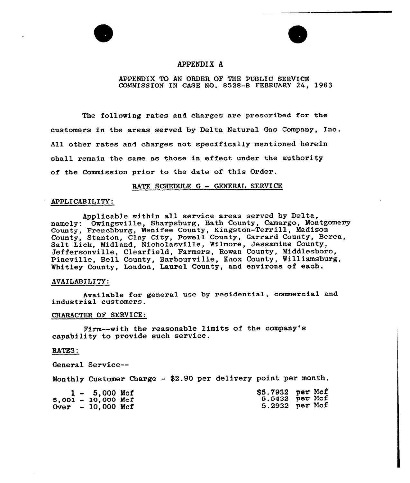

## APPENDIX A

### APPENDIX TO AN ORDER OP THE PUBLIC SERVICE COMMISSION IN CASE NO. 8528-B FEBRUARY 24, 1983

The following rates and charges are prescribed for the customers in the areas served by Delta Natural Gas Company, Inc. All other rates an4 charges not specifically mentioned herein shall remain the same as those in effect under the authority of the Commission prior to the date of this Order.

## RATE SCHEDULE G - GENERAL SERVICE

#### APPLICABILITY: APPLICABILITY'pplicable

Applicable within all service areas served by Delta, namely: Owingsville, Sharpsburg, Bath County, Camargo, Montgomery County, Prenchburg, Menifee County, Kingston-Terrill, Madison County, Stanton, Clay City, Powell County, Garrard County, Berea, Salt Lick, Midland, Nicholasville, %ilmore, Jessamine County, Jeffersonville, Clearfield, Farmers, Rowan County, Middlesboro, Pineville, Bell County, Barbourville, Knox County, Williamsburg, Whitley County, London, Laurel County, and environs of each.

#### AVAILABILITY:

Available for general use by residential, commercial and industrial customers.

### CHARACTER OF SERVICE:

Firm--with the reasonable limits of the company's capability to provide such service.

#### RATES:

General Service—

Monthly Customer Charge — \$2.90 per delivery point per month.

|  | $1 - 5,000$ Mcf      | \$5.7932 per Mcf |  |
|--|----------------------|------------------|--|
|  | $5.001 - 10.000$ Mcf | $5.5432$ per Mcf |  |
|  | Over $-10,000$ Mcf   | 5.2932 per Mcf   |  |